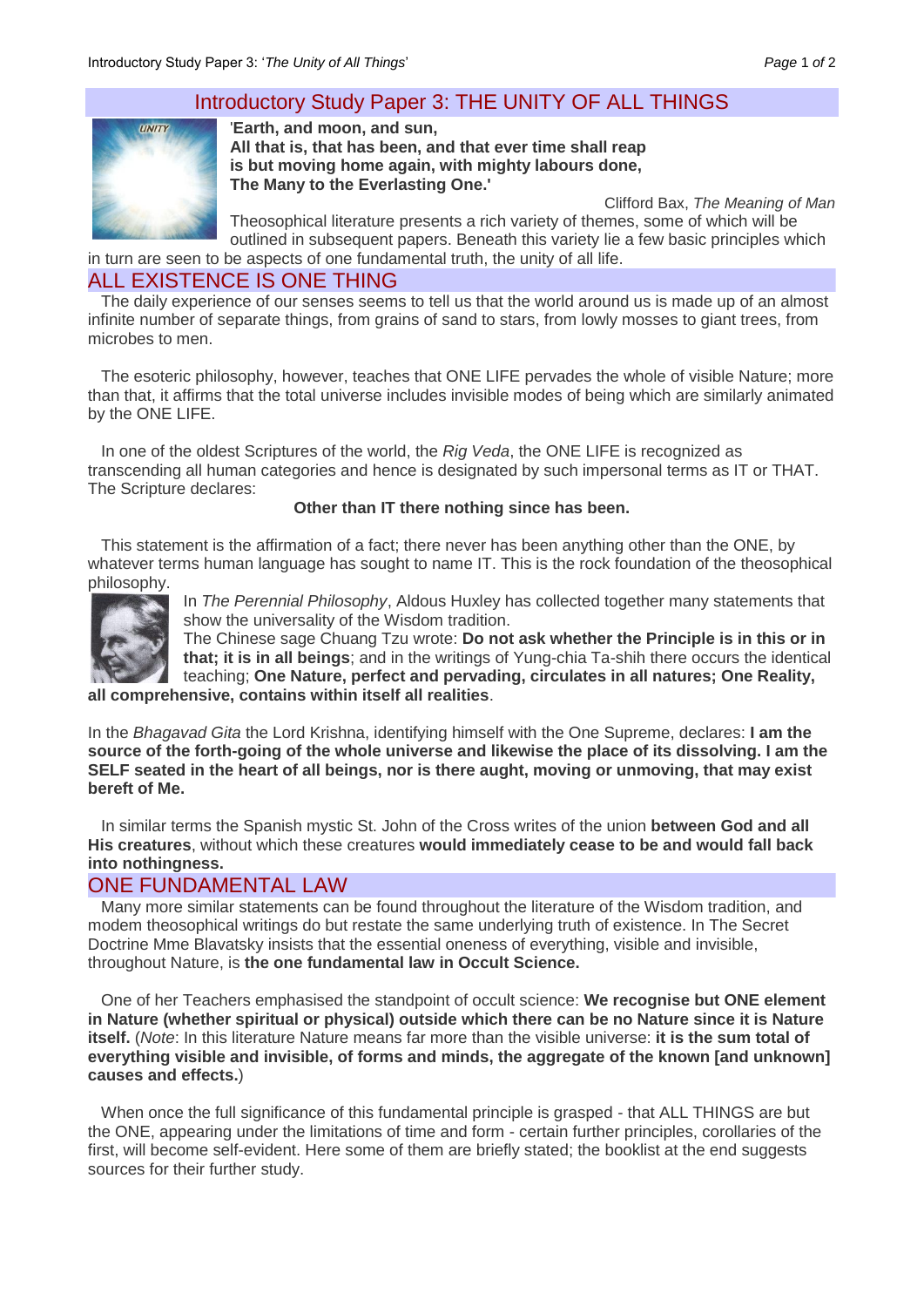# Introductory Study Paper 3: THE UNITY OF ALL THINGS



'**Earth, and moon, and sun, All that is, that has been, and that ever time shall reap is but moving home again, with mighty labours done, The Many to the Everlasting One.'** 

Clifford Bax, *The Meaning of Man* Theosophical literature presents a rich variety of themes, some of which will be outlined in subsequent papers. Beneath this variety lie a few basic principles which in turn are seen to be aspects of one fundamental truth, the unity of all life.

# ALL EXISTENCE IS ONE THING

The daily experience of our senses seems to tell us that the world around us is made up of an almost infinite number of separate things, from grains of sand to stars, from lowly mosses to giant trees, from microbes to men.

The esoteric philosophy, however, teaches that ONE LIFE pervades the whole of visible Nature; more than that, it affirms that the total universe includes invisible modes of being which are similarly animated by the ONE LIFE.

In one of the oldest Scriptures of the world, the *Rig Veda*, the ONE LIFE is recognized as transcending all human categories and hence is designated by such impersonal terms as IT or THAT. The Scripture declares:

#### **Other than IT there nothing since has been.**

This statement is the affirmation of a fact; there never has been anything other than the ONE, by whatever terms human language has sought to name IT. This is the rock foundation of the theosophical philosophy.



In *The Perennial Philosophy*, Aldous Huxley has collected together many statements that show the universality of the Wisdom tradition.

The Chinese sage Chuang Tzu wrote: **Do not ask whether the Principle is in this or in that; it is in all beings**; and in the writings of Yung-chia Ta-shih there occurs the identical teaching; **One Nature, perfect and pervading, circulates in all natures; One Reality, all comprehensive, contains within itself all realities**.

In the *Bhagavad Gita* the Lord Krishna, identifying himself with the One Supreme, declares: **I am the source of the forth-going of the whole universe and likewise the place of its dissolving. I am the SELF seated in the heart of all beings, nor is there aught, moving or unmoving, that may exist bereft of Me.**

In similar terms the Spanish mystic St. John of the Cross writes of the union **between God and all His creatures**, without which these creatures **would immediately cease to be and would fall back into nothingness.**

## ONE FUNDAMENTAL LAW

Many more similar statements can be found throughout the literature of the Wisdom tradition, and modem theosophical writings do but restate the same underlying truth of existence. In The Secret Doctrine Mme Blavatsky insists that the essential oneness of everything, visible and invisible, throughout Nature, is **the one fundamental law in Occult Science.**

One of her Teachers emphasised the standpoint of occult science: **We recognise but ONE element in Nature (whether spiritual or physical) outside which there can be no Nature since it is Nature itself.** (*Note*: In this literature Nature means far more than the visible universe: **it is the sum total of everything visible and invisible, of forms and minds, the aggregate of the known [and unknown] causes and effects.**)

When once the full significance of this fundamental principle is grasped - that ALL THINGS are but the ONE, appearing under the limitations of time and form - certain further principles, corollaries of the first, will become self-evident. Here some of them are briefly stated; the booklist at the end suggests sources for their further study.